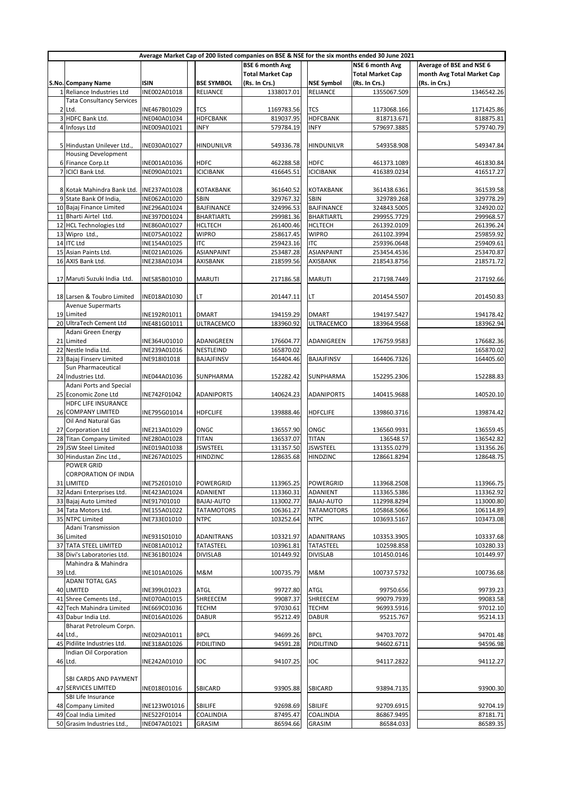|                                                                              | Average Market Cap of 200 listed companies on BSE & NSE for the six months ended 30 June 2021 |              |                   |                         |                   |                         |                            |  |  |
|------------------------------------------------------------------------------|-----------------------------------------------------------------------------------------------|--------------|-------------------|-------------------------|-------------------|-------------------------|----------------------------|--|--|
| Average of BSE and NSE 6<br><b>BSE 6 month Avg</b><br><b>NSE 6 month Avg</b> |                                                                                               |              |                   |                         |                   |                         |                            |  |  |
|                                                                              |                                                                                               |              |                   | <b>Total Market Cap</b> |                   | <b>Total Market Cap</b> | month Avg Total Market Cap |  |  |
|                                                                              | S.No. Company Name                                                                            | <b>ISIN</b>  | <b>BSE SYMBOL</b> | (Rs. In Crs.)           | <b>NSE Symbol</b> | (Rs. In Crs.)           | (Rs. in Crs.)              |  |  |
|                                                                              | 1 Reliance Industries Ltd                                                                     | INE002A01018 | RELIANCE          | 1338017.01              | <b>RELIANCE</b>   | 1355067.509             | 1346542.26                 |  |  |
|                                                                              | <b>Tata Consultancy Services</b>                                                              |              |                   |                         |                   |                         |                            |  |  |
|                                                                              |                                                                                               |              |                   |                         |                   |                         |                            |  |  |
|                                                                              | 2 Ltd.                                                                                        | INE467B01029 | <b>TCS</b>        | 1169783.56              | TCS               | 1173068.166             | 1171425.86                 |  |  |
|                                                                              | 3 HDFC Bank Ltd.                                                                              | INE040A01034 | <b>HDFCBANK</b>   | 819037.95               | <b>HDFCBANK</b>   | 818713.671              | 818875.81                  |  |  |
|                                                                              | 4 Infosys Ltd                                                                                 | INE009A01021 | <b>INFY</b>       | 579784.19               | <b>INFY</b>       | 579697.3885             | 579740.79                  |  |  |
|                                                                              |                                                                                               |              |                   |                         |                   |                         |                            |  |  |
|                                                                              | 5 Hindustan Unilever Ltd.,                                                                    | INE030A01027 | <b>HINDUNILVR</b> | 549336.78               | HINDUNILVR        | 549358.908              | 549347.84                  |  |  |
|                                                                              | <b>Housing Development</b>                                                                    |              |                   |                         |                   |                         |                            |  |  |
|                                                                              | 6 Finance Corp.Lt                                                                             | INE001A01036 | HDFC              | 462288.58               | <b>HDFC</b>       | 461373.1089             | 461830.84                  |  |  |
|                                                                              | 7 ICICI Bank Ltd.                                                                             | INE090A01021 | <b>ICICIBANK</b>  | 416645.51               | <b>ICICIBANK</b>  | 416389.0234             | 416517.27                  |  |  |
|                                                                              |                                                                                               |              |                   |                         |                   |                         |                            |  |  |
|                                                                              |                                                                                               |              |                   |                         |                   |                         |                            |  |  |
|                                                                              | 8 Kotak Mahindra Bank Ltd.                                                                    | INE237A01028 | KOTAKBANK         | 361640.52               | <b>KOTAKBANK</b>  | 361438.6361             | 361539.58                  |  |  |
|                                                                              | 9 State Bank Of India,                                                                        | INE062A01020 | SBIN              | 329767.32               | SBIN              | 329789.268              | 329778.29                  |  |  |
|                                                                              | 10 Bajaj Finance Limited                                                                      | INE296A01024 | <b>BAJFINANCE</b> | 324996.53               | <b>BAJFINANCE</b> | 324843.5005             | 324920.02                  |  |  |
|                                                                              | 11 Bharti Airtel Ltd.                                                                         | INE397D01024 | <b>BHARTIARTL</b> | 299981.36               | <b>BHARTIARTL</b> | 299955.7729             | 299968.57                  |  |  |
|                                                                              | 12 HCL Technologies Ltd                                                                       | INE860A01027 | HCLTECH           | 261400.46               | <b>HCLTECH</b>    | 261392.0109             | 261396.24                  |  |  |
|                                                                              |                                                                                               |              |                   |                         |                   | 261102.3994             |                            |  |  |
|                                                                              | 13 Wipro Ltd.,                                                                                | INE075A01022 | <b>WIPRO</b>      | 258617.45               | <b>WIPRO</b>      |                         | 259859.92                  |  |  |
|                                                                              | 14 ITC Ltd                                                                                    | INE154A01025 | <b>ITC</b>        | 259423.16               | <b>ITC</b>        | 259396.0648             | 259409.61                  |  |  |
|                                                                              | 15 Asian Paints Ltd.                                                                          | INE021A01026 | <b>ASIANPAINT</b> | 253487.28               | <b>ASIANPAINT</b> | 253454.4536             | 253470.87                  |  |  |
|                                                                              | 16 AXIS Bank Ltd.                                                                             | INE238A01034 | AXISBANK          | 218599.56               | AXISBANK          | 218543.8756             | 218571.72                  |  |  |
|                                                                              |                                                                                               |              |                   |                         |                   |                         |                            |  |  |
|                                                                              | 17 Maruti Suzuki India Ltd.                                                                   | INE585B01010 | <b>MARUTI</b>     | 217186.58               | <b>MARUTI</b>     | 217198.7449             | 217192.66                  |  |  |
|                                                                              |                                                                                               |              |                   |                         |                   |                         |                            |  |  |
|                                                                              |                                                                                               |              |                   |                         |                   |                         |                            |  |  |
|                                                                              | 18 Larsen & Toubro Limited                                                                    | INE018A01030 | LT.               | 201447.11               | LΤ                | 201454.5507             | 201450.83                  |  |  |
|                                                                              | <b>Avenue Supermarts</b>                                                                      |              |                   |                         |                   |                         |                            |  |  |
|                                                                              | 19 Limited                                                                                    | INE192R01011 | <b>DMART</b>      | 194159.29               | <b>DMART</b>      | 194197.5427             | 194178.42                  |  |  |
|                                                                              | 20 UltraTech Cement Ltd                                                                       | INE481G01011 | ULTRACEMCO        | 183960.92               | <b>ULTRACEMCO</b> | 183964.9568             | 183962.94                  |  |  |
|                                                                              | Adani Green Energy                                                                            |              |                   |                         |                   |                         |                            |  |  |
|                                                                              | 21 Limited                                                                                    | INE364U01010 | ADANIGREEN        | 176604.77               | ADANIGREEN        | 176759.9583             | 176682.36                  |  |  |
|                                                                              |                                                                                               |              |                   |                         |                   |                         |                            |  |  |
|                                                                              | 22 Nestle India Ltd.                                                                          | INE239A01016 | NESTLEIND         | 165870.02               |                   |                         | 165870.02                  |  |  |
|                                                                              | 23 Bajaj Finserv Limited                                                                      | INE918I01018 | <b>BAJAJFINSV</b> | 164404.46               | <b>BAJAJFINSV</b> | 164406.7326             | 164405.60                  |  |  |
|                                                                              | Sun Pharmaceutical                                                                            |              |                   |                         |                   |                         |                            |  |  |
|                                                                              | 24 Industries Ltd.                                                                            | INE044A01036 | SUNPHARMA         | 152282.42               | SUNPHARMA         | 152295.2306             | 152288.83                  |  |  |
|                                                                              | <b>Adani Ports and Special</b>                                                                |              |                   |                         |                   |                         |                            |  |  |
|                                                                              | 25 Economic Zone Ltd                                                                          | INE742F01042 | <b>ADANIPORTS</b> | 140624.23               | <b>ADANIPORTS</b> | 140415.9688             | 140520.10                  |  |  |
|                                                                              | HDFC LIFE INSURANCE                                                                           |              |                   |                         |                   |                         |                            |  |  |
|                                                                              |                                                                                               |              |                   |                         |                   |                         |                            |  |  |
|                                                                              | 26 COMPANY LIMITED                                                                            | INE795G01014 | <b>HDFCLIFE</b>   | 139888.46               | <b>HDFCLIFE</b>   | 139860.3716             | 139874.42                  |  |  |
|                                                                              | Oil And Natural Gas                                                                           |              |                   |                         |                   |                         |                            |  |  |
|                                                                              | 27 Corporation Ltd                                                                            | INE213A01029 | ONGC              | 136557.90               | ONGC              | 136560.9931             | 136559.45                  |  |  |
|                                                                              | 28 Titan Company Limited                                                                      | INE280A01028 | <b>TITAN</b>      | 136537.07               | <b>TITAN</b>      | 136548.57               | 136542.82                  |  |  |
|                                                                              | 29 JSW Steel Limited                                                                          | INE019A01038 | <b>JSWSTEEL</b>   | 131357.50               | <b>JSWSTEEL</b>   | 131355.0279             | 131356.26                  |  |  |
|                                                                              | 30 Hindustan Zinc Ltd.,                                                                       | INE267A01025 | HINDZINC          | 128635.68               | <b>HINDZINC</b>   | 128661.8294             | 128648.75                  |  |  |
|                                                                              | POWER GRID                                                                                    |              |                   |                         |                   |                         |                            |  |  |
|                                                                              |                                                                                               |              |                   |                         |                   |                         |                            |  |  |
|                                                                              | CORPORATION OF INDIA                                                                          |              |                   |                         |                   |                         |                            |  |  |
|                                                                              | 31 LIMITED                                                                                    | INE752E01010 | POWERGRID         | 113965.25               | <b>POWERGRID</b>  | 113968.2508             | 113966.75                  |  |  |
|                                                                              | 32 Adani Enterprises Ltd.                                                                     | INE423A01024 | ADANIENT          | 113360.31               | ADANIENT          | 113365.5386             | 113362.92                  |  |  |
|                                                                              | 33 Bajaj Auto Limited                                                                         | INE917I01010 | <b>BAJAJ-AUTO</b> | 113002.77               | BAJAJ-AUTO        | 112998.8294             | 113000.80                  |  |  |
|                                                                              | 34 Tata Motors Ltd.                                                                           | INE155A01022 | <b>TATAMOTORS</b> | 106361.27               | <b>TATAMOTORS</b> | 105868.5066             | 106114.89                  |  |  |
|                                                                              | 35 NTPC Limited                                                                               | INE733E01010 | NTPC              | 103252.64               | <b>NTPC</b>       | 103693.5167             | 103473.08                  |  |  |
|                                                                              | Adani Transmission                                                                            |              |                   |                         |                   |                         |                            |  |  |
|                                                                              |                                                                                               |              |                   |                         |                   |                         |                            |  |  |
|                                                                              | 36 Limited                                                                                    | INE931S01010 | ADANITRANS        | 103321.97               | ADANITRANS        | 103353.3905             | 103337.68                  |  |  |
|                                                                              | 37 TATA STEEL LIMITED                                                                         | INE081A01012 | <b>TATASTEEL</b>  | 103961.81               | TATASTEEL         | 102598.858              | 103280.33                  |  |  |
|                                                                              | 38 Divi's Laboratories Ltd.                                                                   | INE361B01024 | <b>DIVISLAB</b>   | 101449.92               | <b>DIVISLAB</b>   | 101450.0146             | 101449.97                  |  |  |
|                                                                              | Mahindra & Mahindra                                                                           |              |                   |                         |                   |                         |                            |  |  |
|                                                                              | 39 Ltd.                                                                                       | INE101A01026 | M&M               | 100735.79               | M&M               | 100737.5732             | 100736.68                  |  |  |
|                                                                              | <b>ADANI TOTAL GAS</b>                                                                        |              |                   |                         |                   |                         |                            |  |  |
|                                                                              |                                                                                               |              |                   |                         |                   |                         |                            |  |  |
|                                                                              | 40 LIMITED                                                                                    | INE399L01023 | ATGL              | 99727.80                | ATGL              | 99750.656               | 99739.23                   |  |  |
|                                                                              | 41 Shree Cements Ltd.,                                                                        | INE070A01015 | SHREECEM          | 99087.37                | SHREECEM          | 99079.7939              | 99083.58                   |  |  |
|                                                                              | 42 Tech Mahindra Limited                                                                      | INE669C01036 | TECHM             | 97030.61                | <b>TECHM</b>      | 96993.5916              | 97012.10                   |  |  |
|                                                                              | 43 Dabur India Ltd.                                                                           | INE016A01026 | <b>DABUR</b>      | 95212.49                | <b>DABUR</b>      | 95215.767               | 95214.13                   |  |  |
|                                                                              | Bharat Petroleum Corpn.                                                                       |              |                   |                         |                   |                         |                            |  |  |
|                                                                              | 44 Ltd.,                                                                                      | INE029A01011 | <b>BPCL</b>       | 94699.26                | <b>BPCL</b>       | 94703.7072              | 94701.48                   |  |  |
|                                                                              | 45 Pidilite Industries Ltd.                                                                   | INE318A01026 | PIDILITIND        | 94591.28                | PIDILITIND        | 94602.6711              | 94596.98                   |  |  |
|                                                                              |                                                                                               |              |                   |                         |                   |                         |                            |  |  |
|                                                                              | Indian Oil Corporation                                                                        |              |                   |                         |                   |                         |                            |  |  |
|                                                                              | 46 Ltd.                                                                                       | INE242A01010 | IOC               | 94107.25                | <b>IOC</b>        | 94117.2822              | 94112.27                   |  |  |
|                                                                              |                                                                                               |              |                   |                         |                   |                         |                            |  |  |
|                                                                              | SBI CARDS AND PAYMENT                                                                         |              |                   |                         |                   |                         |                            |  |  |
|                                                                              | 47 SERVICES LIMITED                                                                           | INE018E01016 | SBICARD           | 93905.88                | SBICARD           | 93894.7135              | 93900.30                   |  |  |
|                                                                              | SBI Life Insurance                                                                            |              |                   |                         |                   |                         |                            |  |  |
|                                                                              |                                                                                               |              |                   |                         | SBILIFE           |                         | 92704.19                   |  |  |
|                                                                              | 48 Company Limited                                                                            | INE123W01016 | SBILIFE           | 92698.69                |                   | 92709.6915              |                            |  |  |
|                                                                              | 49 Coal India Limited                                                                         | INE522F01014 | COALINDIA         | 87495.47                | COALINDIA         | 86867.9495              | 87181.71                   |  |  |
|                                                                              | 50 Grasim Industries Ltd.,                                                                    | INE047A01021 | GRASIM            | 86594.66                | GRASIM            | 86584.033               | 86589.35                   |  |  |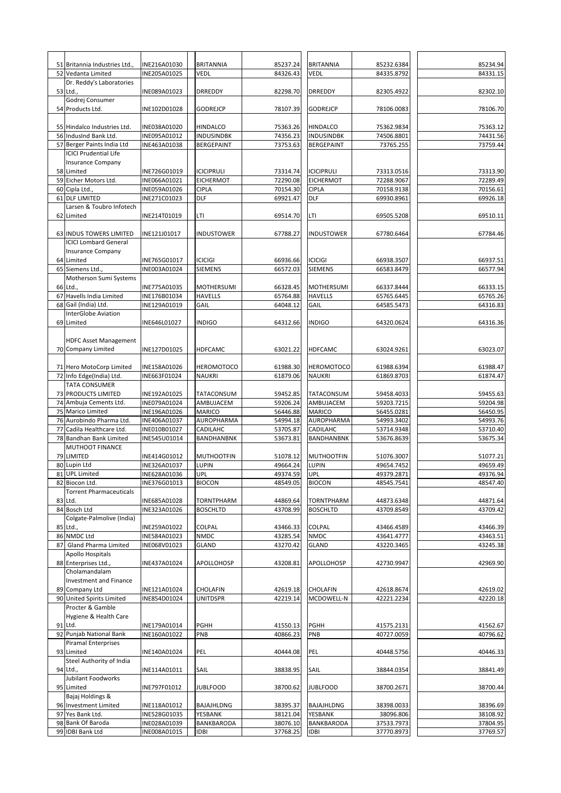|    | 51 Britannia Industries Ltd.,                        | INE216A01030<br>INE205A01025 | <b>BRITANNIA</b><br>VEDL              | 85237.24<br>84326.43 | <b>BRITANNIA</b>                      | 85232.6384               | 85234.94<br>84331.15 |
|----|------------------------------------------------------|------------------------------|---------------------------------------|----------------------|---------------------------------------|--------------------------|----------------------|
|    | 52 Vedanta Limited<br>Dr. Reddy's Laboratories       |                              |                                       |                      | Vedl                                  | 84335.8792               |                      |
|    | 53 Ltd.,                                             | INE089A01023                 | DRREDDY                               | 82298.70             | DRREDDY                               | 82305.4922               | 82302.10             |
|    | Godrej Consumer                                      |                              |                                       |                      |                                       |                          |                      |
|    | 54 Products Ltd.                                     | INE102D01028                 | <b>GODREJCP</b>                       | 78107.39             | <b>GODREJCP</b>                       | 78106.0083               | 78106.70             |
|    |                                                      |                              |                                       |                      |                                       |                          |                      |
|    | 55 Hindalco Industries Ltd.<br>56 IndusInd Bank Ltd. | INE038A01020<br>INE095A01012 | HINDALCO<br>INDUSINDBK                | 75363.26<br>74356.23 | <b>HINDALCO</b><br>INDUSINDBK         | 75362.9834<br>74506.8801 | 75363.12<br>74431.56 |
|    | 57 Berger Paints India Ltd                           | INE463A01038                 | <b>BERGEPAINT</b>                     | 73753.63             | <b>BERGEPAINT</b>                     | 73765.255                | 73759.44             |
|    | <b>ICICI Prudential Life</b>                         |                              |                                       |                      |                                       |                          |                      |
|    | <b>Insurance Company</b>                             |                              |                                       |                      |                                       |                          |                      |
| 59 | 58 Limited<br>Eicher Motors Ltd.                     | INE726G01019<br>INE066A01021 | <b>ICICIPRULI</b><br><b>EICHERMOT</b> | 73314.74<br>72290.08 | <b>ICICIPRULI</b><br><b>EICHERMOT</b> | 73313.0516<br>72288.9067 | 73313.90<br>72289.49 |
|    | 60 Cipla Ltd.,                                       | INE059A01026                 | <b>CIPLA</b>                          | 70154.30             | <b>CIPLA</b>                          | 70158.9138               | 70156.61             |
|    | 61 DLF LIMITED                                       | INE271C01023                 | DLF                                   | 69921.47             | DLF                                   | 69930.8961               | 69926.18             |
|    | Larsen & Toubro Infotech                             |                              |                                       |                      |                                       |                          |                      |
| 62 | Limited                                              | INE214T01019                 | LTI                                   | 69514.70             | LTI                                   | 69505.5208               | 69510.11             |
|    | 63 INDUS TOWERS LIMITED                              | INE121J01017                 | INDUSTOWER                            | 67788.27             | <b>INDUSTOWER</b>                     | 67780.6464               | 67784.46             |
|    | <b>ICICI Lombard General</b>                         |                              |                                       |                      |                                       |                          |                      |
|    | <b>Insurance Company</b>                             |                              |                                       |                      |                                       |                          |                      |
|    | 64 Limited                                           | INE765G01017                 | <b>ICICIGI</b>                        | 66936.66             | <b>ICICIGI</b>                        | 66938.3507               | 66937.51             |
|    | 65 Siemens Ltd.,                                     | INE003A01024                 | <b>SIEMENS</b>                        | 66572.03             | <b>SIEMENS</b>                        | 66583.8479               | 66577.94             |
| 66 | Motherson Sumi Systems<br>Ltd.,                      | INE775A01035                 | MOTHERSUMI                            | 66328.45             | <b>MOTHERSUMI</b>                     | 66337.8444               | 66333.15             |
| 67 | Havells India Limited                                | INE176B01034                 | <b>HAVELLS</b>                        | 65764.88             | <b>HAVELLS</b>                        | 65765.6445               | 65765.26             |
|    | 68 Gail (India) Ltd.                                 | INE129A01019                 | GAIL                                  | 64048.12             | GAIL                                  | 64585.5473               | 64316.83             |
|    | <b>InterGlobe Aviation</b>                           |                              |                                       |                      |                                       |                          |                      |
|    | 69 Limited                                           | INE646L01027                 | <b>INDIGO</b>                         | 64312.66             | <b>INDIGO</b>                         | 64320.0624               | 64316.36             |
|    | <b>HDFC Asset Management</b>                         |                              |                                       |                      |                                       |                          |                      |
|    | 70 Company Limited                                   | INE127D01025                 | <b>HDFCAMC</b>                        | 63021.22             | <b>HDFCAMC</b>                        | 63024.9261               | 63023.07             |
|    |                                                      |                              |                                       |                      |                                       |                          |                      |
|    | 71 Hero MotoCorp Limited                             | INE158A01026                 | HEROMOTOCO                            | 61988.30             | <b>HEROMOTOCO</b>                     | 61988.6394               | 61988.47             |
|    | 72 Info Edge(India) Ltd.                             | INE663F01024                 | NAUKRI                                | 61879.06             | <b>NAUKRI</b>                         | 61869.8703               | 61874.47             |
| 73 | <b>TATA CONSUMER</b><br>PRODUCTS LIMITED             | INE192A01025                 | TATACONSUM                            | 59452.85             | TATACONSUM                            | 59458.4033               | 59455.63             |
|    | 74 Ambuja Cements Ltd.                               | INE079A01024                 | AMBUJACEM                             | 59206.24             | AMBUJACEM                             | 59203.7215               | 59204.98             |
|    | 75 Marico Limited                                    | INE196A01026                 | MARICO                                | 56446.88             | MARICO                                | 56455.0281               | 56450.95             |
|    | 76 Aurobindo Pharma Ltd.                             | INE406A01037                 | AUROPHARMA                            | 54994.18             | AUROPHARMA                            | 54993.3402               | 54993.76             |
| 77 | Cadila Healthcare Ltd.                               | INE010B01027                 | CADILAHC<br>BANDHANBNK                | 53705.87<br>53673.81 | CADILAHC<br>BANDHANBNK                | 53714.9348<br>53676.8639 | 53710.40<br>53675.34 |
|    | 78 Bandhan Bank Limited<br>MUTHOOT FINANCE           | INE545U01014                 |                                       |                      |                                       |                          |                      |
| 79 | LIMITED                                              | INE414G01012                 | MUTHOOTFIN                            | 51078.12             | <b>MUTHOOTFIN</b>                     | 51076.3007               | 51077.21             |
|    | 80 Lupin Ltd                                         | INE326A01037                 | <b>LUPIN</b>                          | 49664.24             | <b>LUPIN</b>                          | 49654.7452               | 49659.49             |
|    | 81 UPL Limited                                       | INE628A01036                 | <b>UPL</b>                            | 49374.59             | <b>UPL</b>                            | 49379.2871               | 49376.94             |
|    | 82 Biocon Ltd.<br><b>Torrent Pharmaceuticals</b>     | INE376G01013                 | <b>BIOCON</b>                         | 48549.05             | <b>BIOCON</b>                         | 48545.7541               | 48547.40             |
|    | 83 Ltd.                                              | INE685A01028                 | TORNTPHARM                            | 44869.64             | <b>TORNTPHARM</b>                     | 44873.6348               | 44871.64             |
|    | 84 Bosch Ltd                                         | INE323A01026                 | <b>BOSCHLTD</b>                       | 43708.99             | <b>BOSCHLTD</b>                       | 43709.8549               | 43709.42             |
|    | Colgate-Palmolive (India)                            |                              |                                       |                      |                                       |                          |                      |
|    | 85 Ltd.,                                             | INE259A01022                 | COLPAL                                | 43466.33             | COLPAL                                | 43466.4589               | 43466.39             |
| 87 | 86 NMDC Ltd<br>Gland Pharma Limited                  | INE584A01023<br>INE068V01023 | <b>NMDC</b><br><b>GLAND</b>           | 43285.54<br>43270.42 | <b>NMDC</b><br>GLAND                  | 43641.4777<br>43220.3465 | 43463.51<br>43245.38 |
|    | Apollo Hospitals                                     |                              |                                       |                      |                                       |                          |                      |
|    | 88 Enterprises Ltd.,                                 | INE437A01024                 | APOLLOHOSP                            | 43208.81             | APOLLOHOSP                            | 42730.9947               | 42969.90             |
|    | Cholamandalam                                        |                              |                                       |                      |                                       |                          |                      |
|    | <b>Investment and Finance</b>                        |                              |                                       |                      |                                       |                          |                      |
|    | 89 Company Ltd<br>90 United Spirits Limited          | INE121A01024<br>INE854D01024 | CHOLAFIN<br>UNITDSPR                  | 42619.18<br>42219.14 | CHOLAFIN<br>MCDOWELL-N                | 42618.8674<br>42221.2234 | 42619.02<br>42220.18 |
|    | Procter & Gamble                                     |                              |                                       |                      |                                       |                          |                      |
|    | Hygiene & Health Care                                |                              |                                       |                      |                                       |                          |                      |
|    | 91 Ltd.                                              | INE179A01014                 | PGHH                                  | 41550.13             | PGHH                                  | 41575.2131               | 41562.67             |
|    | 92 Punjab National Bank                              | INE160A01022                 | PNB                                   | 40866.23             | PNB                                   | 40727.0059               | 40796.62             |
|    | <b>Piramal Enterprises</b><br>93 Limited             | INE140A01024                 | PEL                                   | 40444.08             | PEL                                   | 40448.5756               | 40446.33             |
|    | Steel Authority of India                             |                              |                                       |                      |                                       |                          |                      |
|    | 94 Ltd.,                                             | INE114A01011                 | SAIL                                  | 38838.95             | SAIL                                  | 38844.0354               | 38841.49             |
|    | Jubilant Foodworks                                   |                              |                                       |                      |                                       |                          |                      |
|    | 95 Limited<br>Bajaj Holdings &                       | INE797F01012                 | <b>JUBLFOOD</b>                       | 38700.62             | <b>JUBLFOOD</b>                       | 38700.2671               | 38700.44             |
|    | 96 Investment Limited                                | INE118A01012                 | BAJAJHLDNG                            | 38395.37             | BAJAJHLDNG                            | 38398.0033               | 38396.69             |
|    | 97 Yes Bank Ltd.                                     | INE528G01035                 | YESBANK                               | 38121.04             | YESBANK                               | 38096.806                | 38108.92             |
|    | 98 Bank Of Baroda                                    | INE028A01039                 | BANKBARODA                            | 38076.10             | BANKBARODA                            | 37533.7973               | 37804.95             |
|    | 99 IDBI Bank Ltd                                     | INE008A01015                 | IDBI                                  | 37768.25             | IDBI                                  | 37770.8973               | 37769.57             |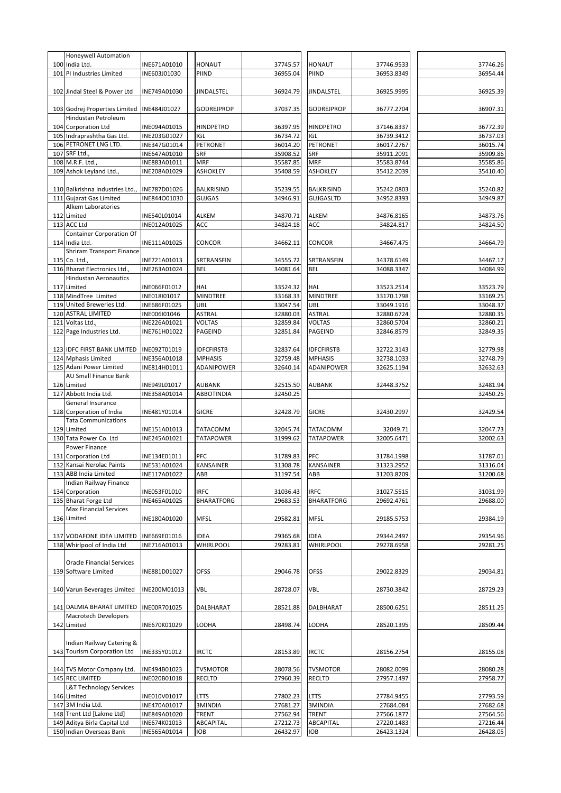|     | Honeywell Automation             |              |                   |          |                   |            |          |
|-----|----------------------------------|--------------|-------------------|----------|-------------------|------------|----------|
|     | 100 India Ltd.                   | INE671A01010 | HONAUT            | 37745.57 | <b>HONAUT</b>     | 37746.9533 | 37746.26 |
| 101 | PI Industries Limited            | INE603J01030 | PIIND             | 36955.04 | PIIND             | 36953.8349 | 36954.44 |
|     |                                  |              |                   |          |                   |            |          |
|     | 102 Jindal Steel & Power Ltd     | INE749A01030 | <b>JINDALSTEL</b> | 36924.79 | JINDALSTEL        | 36925.9995 | 36925.39 |
|     |                                  |              |                   |          |                   |            |          |
|     | 103 Godrej Properties Limited    | INE484J01027 | <b>GODREJPROP</b> | 37037.35 | <b>GODREJPROP</b> | 36777.2704 | 36907.31 |
|     | Hindustan Petroleum              |              |                   |          |                   |            |          |
|     | 104 Corporation Ltd              | INE094A01015 | HINDPETRO         | 36397.95 | <b>HINDPETRO</b>  | 37146.8337 | 36772.39 |
|     |                                  | INE203G01027 | IGL               | 36734.72 | IGL               | 36739.3412 | 36737.03 |
|     | 105 Indraprashtha Gas Ltd.       |              |                   |          |                   |            |          |
| 106 | PETRONET LNG LTD.                | INE347G01014 | PETRONET          | 36014.20 | PETRONET          | 36017.2767 | 36015.74 |
|     | 107 SRF Ltd.,                    | INE647A01010 | SRF               | 35908.52 | SRF               | 35911.2091 | 35909.86 |
| 108 | M.R.F. Ltd.,                     | INE883A01011 | <b>MRF</b>        | 35587.85 | <b>MRF</b>        | 35583.8744 | 35585.86 |
| 109 | Ashok Leyland Ltd.               | INE208A01029 | <b>ASHOKLEY</b>   | 35408.59 | <b>ASHOKLEY</b>   | 35412.2039 | 35410.40 |
|     |                                  |              |                   |          |                   |            |          |
|     | 110 Balkrishna Industries Ltd.,  | INE787D01026 | <b>BALKRISIND</b> | 35239.55 | BALKRISIND        | 35242.0803 | 35240.82 |
| 111 | Gujarat Gas Limited              | INE844001030 | GUJGAS            | 34946.91 | <b>GUJGASLTD</b>  | 34952.8393 | 34949.87 |
|     | Alkem Laboratories               |              |                   |          |                   |            |          |
|     | 112 Limited                      | INE540L01014 | <b>ALKEM</b>      | 34870.71 | ALKEM             | 34876.8165 | 34873.76 |
|     | 113 ACC Ltd                      | INE012A01025 | ACC               | 34824.18 | ACC               | 34824.817  | 34824.50 |
|     | <b>Container Corporation Of</b>  |              |                   |          |                   |            |          |
|     | 114 India Ltd.                   | INE111A01025 | CONCOR            | 34662.11 | CONCOR            | 34667.475  | 34664.79 |
|     | <b>Shriram Transport Finance</b> |              |                   |          |                   |            |          |
|     |                                  |              |                   |          |                   |            |          |
|     | 115 Co. Ltd.,                    | INE721A01013 | SRTRANSFIN        | 34555.72 | SRTRANSFIN        | 34378.6149 | 34467.17 |
|     | 116 Bharat Electronics Ltd.,     | INE263A01024 | <b>BEL</b>        | 34081.64 | <b>BEL</b>        | 34088.3347 | 34084.99 |
|     | <b>Hindustan Aeronautics</b>     |              |                   |          |                   |            |          |
|     | 117 Limited                      | INE066F01012 | HAL               | 33524.32 | <b>HAL</b>        | 33523.2514 | 33523.79 |
| 118 | MindTree Limited                 | INE018I01017 | <b>MINDTREE</b>   | 33168.33 | <b>MINDTREE</b>   | 33170.1798 | 33169.25 |
| 119 | United Breweries Ltd.            | INE686F01025 | UBL               | 33047.54 | UBL               | 33049.1916 | 33048.37 |
| 120 | <b>ASTRAL LIMITED</b>            | INE006I01046 | <b>ASTRAL</b>     | 32880.03 | <b>ASTRAL</b>     | 32880.6724 | 32880.35 |
| 121 | Voltas Ltd.,                     | INE226A01021 | VOLTAS            | 32859.84 | <b>VOLTAS</b>     | 32860.5704 | 32860.21 |
| 122 | Page Industries Ltd.             | INE761H01022 | PAGEIND           | 32851.84 | PAGEIND           | 32846.8579 | 32849.35 |
|     |                                  |              |                   |          |                   |            |          |
|     | 123 IDFC FIRST BANK LIMITED      | INE092T01019 | <b>IDFCFIRSTB</b> | 32837.64 | <b>IDFCFIRSTB</b> | 32722.3143 | 32779.98 |
| 124 | <b>Mphasis Limited</b>           | INE356A01018 | <b>MPHASIS</b>    | 32759.48 | <b>MPHASIS</b>    | 32738.1033 | 32748.79 |
|     |                                  |              |                   |          |                   |            | 32632.63 |
| 125 | Adani Power Limited              | INE814H01011 | ADANIPOWER        | 32640.14 | ADANIPOWER        | 32625.1194 |          |
|     | AU Small Finance Bank            |              |                   |          |                   |            |          |
|     | 126 Limited                      | INE949L01017 | AUBANK            | 32515.50 | <b>AUBANK</b>     | 32448.3752 | 32481.94 |
| 127 | Abbott India Ltd.                | INE358A01014 | <b>ABBOTINDIA</b> | 32450.25 |                   |            | 32450.25 |
|     | <b>General Insurance</b>         |              |                   |          |                   |            |          |
| 128 | Corporation of India             | INE481Y01014 | <b>GICRE</b>      | 32428.79 | <b>GICRE</b>      | 32430.2997 | 32429.54 |
|     | <b>Tata Communications</b>       |              |                   |          |                   |            |          |
| 129 | Limited                          | INE151A01013 | TATACOMM          | 32045.74 | TATACOMM          | 32049.71   | 32047.73 |
| 130 | Tata Power Co. Ltd               | INE245A01021 | <b>TATAPOWER</b>  | 31999.62 | <b>TATAPOWER</b>  | 32005.6471 | 32002.63 |
|     | Power Finance                    |              |                   |          |                   |            |          |
| 131 | <b>Corporation Ltd</b>           | INE134E01011 | PFC               | 31789.83 | PFC               | 31784.1998 | 31787.01 |
| 132 | Kansai Nerolac Paints            | INE531A01024 | KANSAINER         | 31308.78 | <b>KANSAINER</b>  | 31323.2952 | 31316.04 |
|     | 133 ABB India Limited            | INE117A01022 | ABB               | 31197.54 | ABB               | 31203.8209 | 31200.68 |
|     | Indian Railway Finance           |              |                   |          |                   |            |          |
|     | 134 Corporation                  |              |                   |          |                   |            | 31031.99 |
|     |                                  | INE053F01010 | IRFC              | 31036.43 | IRFC              | 31027.5515 |          |
|     | 135 Bharat Forge Ltd             | INE465A01025 | <b>BHARATFORG</b> | 29683.53 | <b>BHARATFORG</b> | 29692.4761 | 29688.00 |
|     | <b>Max Financial Services</b>    |              |                   |          |                   |            |          |
|     | 136 Limited                      | INE180A01020 | MFSL              | 29582.81 | <b>MFSL</b>       | 29185.5753 | 29384.19 |
|     |                                  |              |                   |          |                   |            |          |
| 137 | VODAFONE IDEA LIMITED            | INE669E01016 | IDEA              | 29365.68 | IDEA              | 29344.2497 | 29354.96 |
|     | 138 Whirlpool of India Ltd       | INE716A01013 | WHIRLPOOL         | 29283.81 | <b>WHIRLPOOL</b>  | 29278.6958 | 29281.25 |
|     |                                  |              |                   |          |                   |            |          |
|     | <b>Oracle Financial Services</b> |              |                   |          |                   |            |          |
| 139 | Software Limited                 | INE881D01027 | OFSS              | 29046.78 | <b>OFSS</b>       | 29022.8329 | 29034.81 |
|     |                                  |              |                   |          |                   |            |          |
|     | 140 Varun Beverages Limited      | INE200M01013 | <b>VBL</b>        | 28728.07 | VBL               | 28730.3842 | 28729.23 |
|     |                                  |              |                   |          |                   |            |          |
|     | 141 DALMIA BHARAT LIMITED        | INE00R701025 |                   |          |                   |            |          |
|     |                                  |              | DALBHARAT         | 28521.88 | DALBHARAT         | 28500.6251 | 28511.25 |
|     | Macrotech Developers             |              |                   |          |                   |            |          |
|     | 142 Limited                      | INE670K01029 | LODHA             | 28498.74 | LODHA             | 28520.1395 | 28509.44 |
|     |                                  |              |                   |          |                   |            |          |
|     | Indian Railway Catering &        |              |                   |          |                   |            |          |
|     | 143 Tourism Corporation Ltd      | INE335Y01012 | IRCTC             | 28153.89 | <b>IRCTC</b>      | 28156.2754 | 28155.08 |
|     |                                  |              |                   |          |                   |            |          |
|     | 144 TVS Motor Company Ltd.       | INE494B01023 | <b>TVSMOTOR</b>   | 28078.56 | <b>TVSMOTOR</b>   | 28082.0099 | 28080.28 |
|     | 145 REC LIMITED                  | INE020B01018 | recltd            | 27960.39 | <b>RECLTD</b>     | 27957.1497 | 27958.77 |
|     | L&T Technology Services          |              |                   |          |                   |            |          |
|     | 146 Limited                      | INE010V01017 | ltts              | 27802.23 | ltts              | 27784.9455 | 27793.59 |
| 147 | 3M India Ltd.                    | INE470A01017 | 3MINDIA           | 27681.27 | 3MINDIA           | 27684.084  | 27682.68 |
|     | 148 Trent Ltd [Lakme Ltd]        | INE849A01020 | <b>TRENT</b>      | 27562.94 | <b>TRENT</b>      | 27566.1877 | 27564.56 |
|     |                                  |              |                   |          |                   |            |          |
|     | 149 Aditya Birla Capital Ltd     | INE674K01013 | ABCAPITAL         | 27212.73 | ABCAPITAL         | 27220.1483 | 27216.44 |
|     | 150 Indian Overseas Bank         | INE565A01014 | IOB               | 26432.97 | IOB               | 26423.1324 | 26428.05 |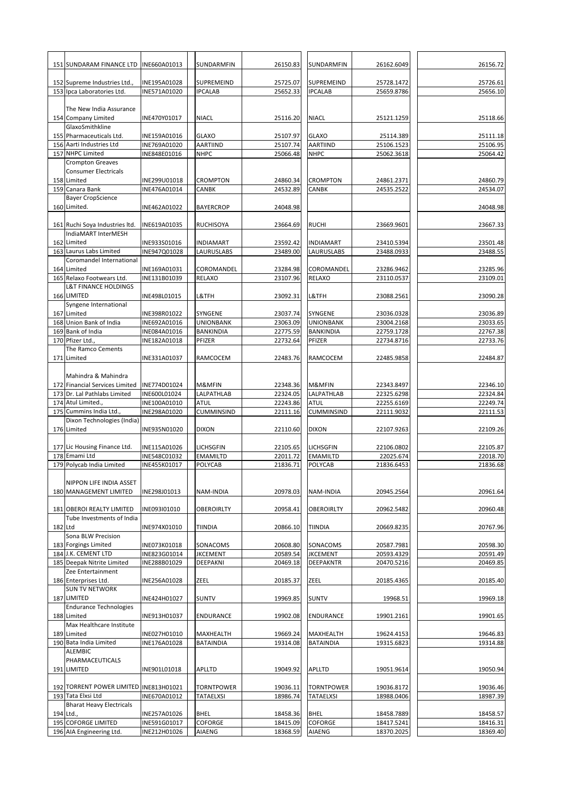|         | 151 SUNDARAM FINANCE LTD                             | INE660A01013                 | SUNDARMFIN                  | 26150.83             | SUNDARMFIN                      | 26162.6049               | 26156.72             |
|---------|------------------------------------------------------|------------------------------|-----------------------------|----------------------|---------------------------------|--------------------------|----------------------|
|         | 152 Supreme Industries Ltd.,                         | INE195A01028                 | SUPREMEIND                  | 25725.07             | SUPREMEIND                      | 25728.1472               | 25726.61             |
|         | 153 Ipca Laboratories Ltd.                           | INE571A01020                 | <b>IPCALAB</b>              | 25652.33             | <b>IPCALAB</b>                  | 25659.8786               | 25656.10             |
|         | The New India Assurance                              |                              |                             |                      |                                 |                          |                      |
|         | 154 Company Limited<br>GlaxoSmithkline               | INE470Y01017                 | <b>NIACL</b>                | 25116.20             | <b>NIACL</b>                    | 25121.1259               | 25118.66             |
|         | 155 Pharmaceuticals Ltd.<br>156 Aarti Industries Ltd | INE159A01016<br>INE769A01020 | <b>GLAXO</b><br>AARTIIND    | 25107.97<br>25107.74 | <b>GLAXO</b><br><b>AARTIIND</b> | 25114.389<br>25106.1523  | 25111.18<br>25106.95 |
|         | 157 NHPC Limited                                     | INE848E01016                 | <b>NHPC</b>                 | 25066.48             | <b>NHPC</b>                     | 25062.3618               | 25064.42             |
|         | <b>Crompton Greaves</b>                              |                              |                             |                      |                                 |                          |                      |
|         | <b>Consumer Electricals</b>                          |                              |                             |                      |                                 |                          |                      |
|         | 158 Limited                                          | INE299U01018                 | CROMPTON                    | 24860.34             | <b>CROMPTON</b>                 | 24861.2371               | 24860.79             |
|         | 159 Canara Bank                                      | INE476A01014                 | CANBK                       | 24532.89             | CANBK                           | 24535.2522               | 24534.07             |
|         | <b>Bayer CropScience</b>                             |                              |                             |                      |                                 |                          |                      |
|         | 160 Limited.                                         | INE462A01022                 | <b>BAYERCROP</b>            | 24048.98             |                                 |                          | 24048.98             |
|         |                                                      |                              |                             |                      |                                 |                          |                      |
|         | 161 Ruchi Soya Industries Itd.                       | INE619A01035                 | <b>RUCHISOYA</b>            | 23664.69             | <b>RUCHI</b>                    | 23669.9601               | 23667.33             |
|         | IndiaMART InterMESH                                  |                              |                             |                      |                                 |                          |                      |
|         | 162 Limited                                          | INE933S01016                 | INDIAMART                   | 23592.42             | INDIAMART                       | 23410.5394               | 23501.48             |
| 163     | Laurus Labs Limited                                  | INE947Q01028                 | LAURUSLABS                  | 23489.00             | LAURUSLABS                      | 23488.0933               | 23488.55             |
|         | Coromandel International                             |                              |                             |                      |                                 |                          |                      |
|         | 164 Limited                                          | INE169A01031                 | COROMANDEL                  | 23284.98             | COROMANDEL                      | 23286.9462               | 23285.96             |
|         | 165 Relaxo Footwears Ltd.                            | INE131B01039                 | RELAXO                      | 23107.96             | <b>RELAXO</b>                   | 23110.0537               | 23109.01             |
|         | <b>L&amp;T FINANCE HOLDINGS</b>                      |                              |                             |                      |                                 |                          |                      |
|         | 166 LIMITED                                          | INE498L01015                 | L&TFH                       | 23092.31             | L&TFH                           | 23088.2561               | 23090.28             |
|         | Syngene International                                |                              |                             |                      |                                 |                          |                      |
|         | 167 Limited                                          | INE398R01022                 | SYNGENE                     | 23037.74             | SYNGENE                         | 23036.0328               | 23036.89             |
| 168     | Union Bank of India                                  | INE692A01016                 | UNIONBANK                   | 23063.09             | <b>UNIONBANK</b>                | 23004.2168               | 23033.65             |
|         | 169 Bank of India                                    | INE084A01016                 | BANKINDIA                   | 22775.59             | <b>BANKINDIA</b>                | 22759.1728               | 22767.38             |
| 170     | Pfizer Ltd.,                                         | INE182A01018                 | PFIZER                      | 22732.64             | PFIZER                          | 22734.8716               | 22733.76             |
|         | The Ramco Cements                                    |                              |                             |                      |                                 |                          |                      |
|         | 171 Limited                                          | INE331A01037                 | RAMCOCEM                    | 22483.76             | RAMCOCEM                        | 22485.9858               | 22484.87             |
|         |                                                      |                              |                             |                      |                                 |                          |                      |
|         | Mahindra & Mahindra                                  |                              |                             |                      |                                 |                          |                      |
|         | 172 Financial Services Limited                       | INE774D01024                 | M&MFIN                      | 22348.36             | M&MFIN                          | 22343.8497               | 22346.10             |
| 173     | Dr. Lal Pathlabs Limited                             | INE600L01024                 | LALPATHLAB                  | 22324.05             | LALPATHLAB                      | 22325.6298               | 22324.84             |
| 174     | Atul Limited.,                                       | INE100A01010                 | <b>ATUL</b>                 | 22243.86             | <b>ATUL</b>                     | 22255.6169               | 22249.74             |
| 175     | Cummins India Ltd.,                                  | INE298A01020                 | CUMMINSIND                  | 22111.16             | <b>CUMMINSIND</b>               | 22111.9032               | 22111.53             |
|         | Dixon Technologies (India)                           |                              |                             |                      |                                 |                          |                      |
|         | 176 Limited                                          | INE935N01020                 | <b>DIXON</b>                | 22110.60             | <b>DIXON</b>                    | 22107.9263               | 22109.26             |
|         |                                                      |                              |                             |                      |                                 |                          |                      |
|         | 177 Lic Housing Finance Ltd.                         | INE115A01026                 | LICHSGFIN                   | 22105.65             | <b>LICHSGFIN</b>                | 22106.0802               | 22105.87             |
|         | 178 Emami Ltd                                        | INE548C01032                 | <b>EMAMILTD</b>             | 22011.72             | <b>EMAMILTD</b>                 | 22025.674                | 22018.70             |
| 179     | Polycab India Limited                                | INE455K01017                 | POLYCAB                     | 21836.71             | POLYCAB                         | 21836.6453               | 21836.68             |
|         | NIPPON LIFE INDIA ASSET<br>180 MANAGEMENT LIMITED    | INE298J01013                 | NAM-INDIA                   | 20978.03             | NAM-INDIA                       | 20945.2564               | 20961.64             |
|         |                                                      |                              |                             |                      |                                 |                          |                      |
|         | 181 OBEROI REALTY LIMITED                            | INE093I01010                 | <b>OBEROIRLTY</b>           | 20958.41             | OBEROIRLTY                      | 20962.5482               | 20960.48             |
|         | Tube Investments of India                            |                              |                             |                      |                                 |                          |                      |
| 182 Ltd | Sona BLW Precision                                   | INE974X01010                 | TIINDIA                     | 20866.10             | <b>TIINDIA</b>                  | 20669.8235               | 20767.96             |
|         |                                                      |                              |                             |                      |                                 |                          |                      |
|         | 183 Forgings Limited<br>184 J.K. CEMENT LTD          | INE073K01018<br>INE823G01014 | SONACOMS<br><b>JKCEMENT</b> | 20608.80<br>20589.54 | SONACOMS<br><b>JKCEMENT</b>     | 20587.7981<br>20593.4329 | 20598.30<br>20591.49 |
|         |                                                      |                              |                             | 20469.18             |                                 |                          | 20469.85             |
|         | 185 Deepak Nitrite Limited<br>Zee Entertainment      | INE288B01029                 | DEEPAKNI                    |                      | <b>DEEPAKNTR</b>                | 20470.5216               |                      |
|         | 186 Enterprises Ltd.                                 | INE256A01028                 | ZEEL                        | 20185.37             | ZEEL                            | 20185.4365               | 20185.40             |
|         | <b>SUN TV NETWORK</b>                                |                              |                             |                      |                                 |                          |                      |
|         | 187 LIMITED                                          | INE424H01027                 | <b>SUNTV</b>                | 19969.85             | <b>SUNTV</b>                    | 19968.51                 | 19969.18             |
|         | <b>Endurance Technologies</b>                        |                              |                             |                      |                                 |                          |                      |
|         | 188 Limited                                          | INE913H01037                 | ENDURANCE                   | 19902.08             | <b>ENDURANCE</b>                | 19901.2161               | 19901.65             |
|         | Max Healthcare Institute                             |                              |                             |                      |                                 |                          |                      |
|         | 189 Limited                                          | INE027H01010                 | MAXHEALTH                   | 19669.24             | MAXHEALTH                       | 19624.4153               | 19646.83             |
|         | 190 Bata India Limited                               | INE176A01028                 | <b>BATAINDIA</b>            | 19314.08             | <b>BATAINDIA</b>                | 19315.6823               | 19314.88             |
|         | <b>ALEMBIC</b>                                       |                              |                             |                      |                                 |                          |                      |
|         | PHARMACEUTICALS                                      |                              |                             |                      |                                 |                          |                      |
|         | 191 LIMITED                                          | INE901L01018                 | APLLTD                      | 19049.92             | APLLTD                          | 19051.9614               | 19050.94             |
|         |                                                      |                              |                             |                      |                                 |                          |                      |
|         | 192 TORRENT POWER LIMITED INE813H01021               |                              | <b>TORNTPOWER</b>           | 19036.11             | <b>TORNTPOWER</b>               | 19036.8172               | 19036.46             |
|         | 193 Tata Elxsi Ltd                                   | INE670A01012                 | TATAELXSI                   | 18986.74             | <b>TATAELXSI</b>                | 18988.0406               | 18987.39             |
|         | <b>Bharat Heavy Electricals</b>                      |                              |                             |                      |                                 |                          |                      |
|         | 194 Ltd.,                                            | INE257A01026                 | <b>BHEL</b>                 | 18458.36             | <b>BHEL</b>                     | 18458.7889               | 18458.57             |
|         | 195 COFORGE LIMITED                                  | INE591G01017                 | COFORGE                     | 18415.09             | COFORGE                         | 18417.5241               | 18416.31             |
|         | 196 AIA Engineering Ltd.                             | INE212H01026                 | AIAENG                      | 18368.59             | AIAENG                          | 18370.2025               | 18369.40             |
|         |                                                      |                              |                             |                      |                                 |                          |                      |